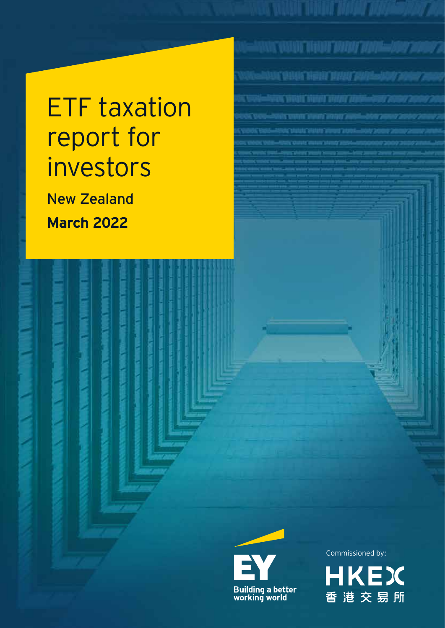# ETF taxation report for investors

New Zealand **March 2022**



Commissioned by:

BANC VOLUT DI BOLT TATAT TATAM-ADA TADOR

ANG ANGKE MANAL ANGKA <sup>ng</sup>alam sang

Antoni Variati Valenti otalisti ylialainen kuuli konnee k

.<br>STAT VANT FOART FRAN 2001–850'Z

ACAMTERIAL SUA LINE TRAVERS

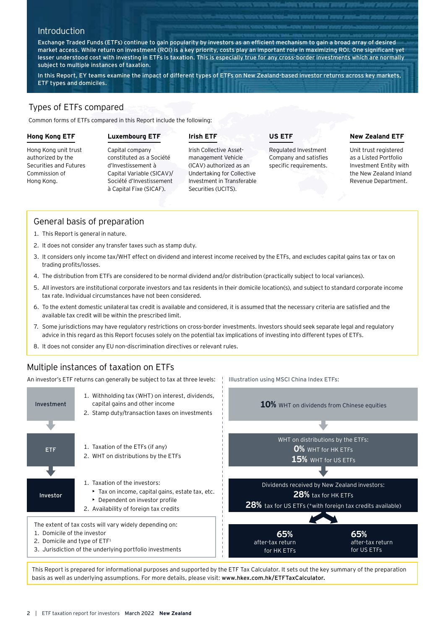# **Introduction**

Exchange Traded Funds (ETFs) continue to gain popularity by investors as an efficient mechanism to gain a broad array of desired market access. While return on investment (ROI) is a key priority, costs play an important role in maximizing ROI. One significant yet lesser understood cost with investing in ETFs is taxation. This is especially true for any cross-border investments which are normally subject to multiple instances of taxation.

In this Report, EY teams examine the impact of different types of ETFs on New Zealand-based investor returns across key markets, ETF types and domiciles.

# Types of ETFs compared

Common forms of ETFs compared in this Report include the following:

#### **Hong Kong ETF**

## **Luxembourg ETF**

# **Irish ETF**

Hong Kong unit trust authorized by the Securities and Futures Commission of Hong Kong.

Capital company constituted as a Société d'Investissement à Capital Variable (SICAV)/ Société d'Investissement à Capital Fixe (SICAF).

#### Irish Collective Assetmanagement Vehicle (ICAV) authorized as an Undertaking for Collective Investment in Transferable Securities (UCITS).

**US ETF**

Illustration using MSCI China Index ETFs:

Regulated Investment Company and satisfies specific requirements.

## **New Zealand ETF**

Unit trust registered as a Listed Portfolio Investment Entity with the New Zealand Inland Revenue Department.

# General basis of preparation

- 1. This Report is general in nature.
- 2. It does not consider any transfer taxes such as stamp duty.
- 3. It considers only income tax/WHT effect on dividend and interest income received by the ETFs, and excludes capital gains tax or tax on trading profits/losses.
- 4. The distribution from ETFs are considered to be normal dividend and/or distribution (practically subject to local variances).
- 5. All investors are institutional corporate investors and tax residents in their domicile location(s), and subject to standard corporate income tax rate. Individual circumstances have not been considered.
- 6. To the extent domestic unilateral tax credit is available and considered, it is assumed that the necessary criteria are satisfied and the available tax credit will be within the prescribed limit.
- 7. Some jurisdictions may have regulatory restrictions on cross-border investments. Investors should seek separate legal and regulatory advice in this regard as this Report focuses solely on the potential tax implications of investing into different types of ETFs.
- 8. It does not consider any EU non-discrimination directives or relevant rules.

# Multiple instances of taxation on ETFs

An investor's ETF returns can generally be subject to tax at three levels:



This Report is prepared for informational purposes and supported by the ETF Tax Calculator. It sets out the key summary of the preparation basis as well as underlying assumptions. For more details, please visit: www.hkex.com.hk/ETFTaxCalculator.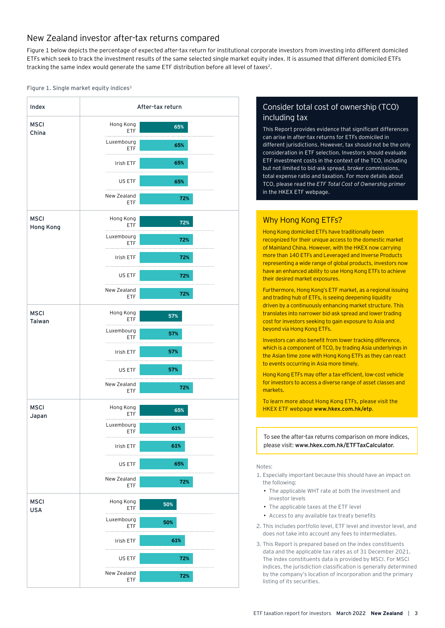# New Zealand investor after-tax returns compared

Figure 1 below depicts the percentage of expected after-tax return for institutional corporate investors from investing into different domiciled ETFs which seek to track the investment results of the same selected single market equity index. It is assumed that different domiciled ETFs tracking the same index would generate the same ETF distribution before all level of taxes<sup>2</sup>.

#### Figure 1. Single market equity indices<sup>3</sup>



# Consider total cost of ownership (TCO) including tax

This Report provides evidence that significant differences can arise in after-tax returns for ETFs domiciled in different jurisdictions. However, tax should not be the only consideration in ETF selection. Investors should evaluate ETF investment costs in the context of the TCO, including but not limited to bid-ask spread, broker commissions, total expense ratio and taxation. For more details about TCO, please read the *ETF Total Cost of Ownership primer* in the HKEX ETF webpage.

# Why Hong Kong ETFs?

Hong Kong domiciled ETFs have traditionally been recognized for their unique access to the domestic market of Mainland China. However, with the HKEX now carrying more than 140 ETFs and Leveraged and Inverse Products representing a wide range of global products, investors now have an enhanced ability to use Hong Kong ETFs to achieve their desired market exposures.

Furthermore, Hong Kong's ETF market, as a regional issuing and trading hub of ETFs, is seeing deepening liquidity driven by a continuously enhancing market structure. This translates into narrower bid-ask spread and lower trading cost for investors seeking to gain exposure to Asia and beyond via Hong Kong ETFs.

Investors can also benefit from lower tracking difference, which is a component of TCO, by trading Asia underlyings in the Asian time zone with Hong Kong ETFs as they can react to events occurring in Asia more timely.

Hong Kong ETFs may offer a tax-efficient, low-cost vehicle for investors to access a diverse range of asset classes and markets.

To learn more about Hong Kong ETFs, please visit the HKEX ETF webpage www.hkex.com.hk/etp.

To see the after-tax returns comparison on more indices, please visit: www.hkex.com.hk/ETFTaxCalculator.

#### Notes:

- 1. Especially important because this should have an impact on the following:
	- The applicable WHT rate at both the investment and investor levels
	- The applicable taxes at the ETF level
	- Access to any available tax treaty benefits
- 2. This includes portfolio level, ETF level and investor level, and does not take into account any fees to intermediates.
- 3. This Report is prepared based on the index constituents data and the applicable tax rates as of 31 December 2021. The index constituents data is provided by MSCI. For MSCI indices, the jurisdiction classification is generally determined by the company's location of incorporation and the primary listing of its securities.